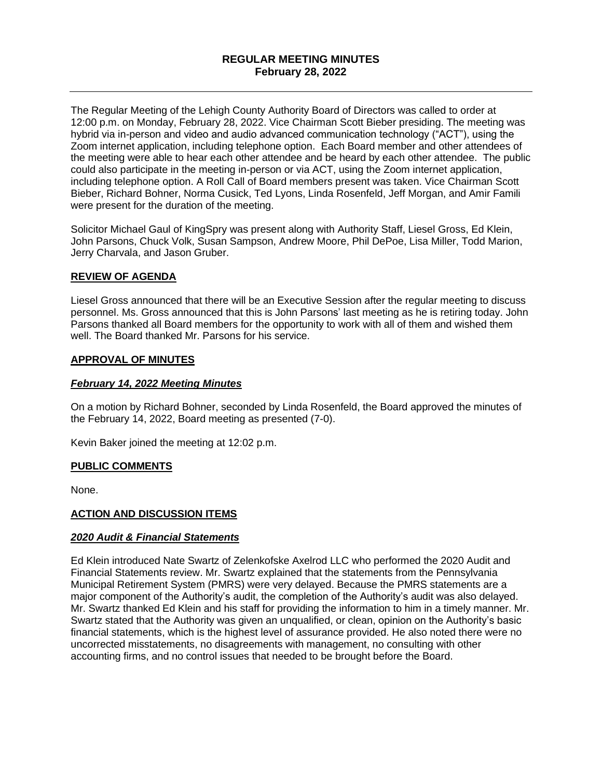# **REGULAR MEETING MINUTES February 28, 2022**

The Regular Meeting of the Lehigh County Authority Board of Directors was called to order at 12:00 p.m. on Monday, February 28, 2022. Vice Chairman Scott Bieber presiding. The meeting was hybrid via in-person and video and audio advanced communication technology ("ACT"), using the Zoom internet application, including telephone option. Each Board member and other attendees of the meeting were able to hear each other attendee and be heard by each other attendee. The public could also participate in the meeting in-person or via ACT, using the Zoom internet application, including telephone option. A Roll Call of Board members present was taken. Vice Chairman Scott Bieber, Richard Bohner, Norma Cusick, Ted Lyons, Linda Rosenfeld, Jeff Morgan, and Amir Famili were present for the duration of the meeting.

Solicitor Michael Gaul of KingSpry was present along with Authority Staff, Liesel Gross, Ed Klein, John Parsons, Chuck Volk, Susan Sampson, Andrew Moore, Phil DePoe, Lisa Miller, Todd Marion, Jerry Charvala, and Jason Gruber.

### **REVIEW OF AGENDA**

Liesel Gross announced that there will be an Executive Session after the regular meeting to discuss personnel. Ms. Gross announced that this is John Parsons' last meeting as he is retiring today. John Parsons thanked all Board members for the opportunity to work with all of them and wished them well. The Board thanked Mr. Parsons for his service.

### **APPROVAL OF MINUTES**

#### *February 14, 2022 Meeting Minutes*

On a motion by Richard Bohner, seconded by Linda Rosenfeld, the Board approved the minutes of the February 14, 2022, Board meeting as presented (7-0).

Kevin Baker joined the meeting at 12:02 p.m.

#### **PUBLIC COMMENTS**

None.

### **ACTION AND DISCUSSION ITEMS**

#### *2020 Audit & Financial Statements*

Ed Klein introduced Nate Swartz of Zelenkofske Axelrod LLC who performed the 2020 Audit and Financial Statements review. Mr. Swartz explained that the statements from the Pennsylvania Municipal Retirement System (PMRS) were very delayed. Because the PMRS statements are a major component of the Authority's audit, the completion of the Authority's audit was also delayed. Mr. Swartz thanked Ed Klein and his staff for providing the information to him in a timely manner. Mr. Swartz stated that the Authority was given an unqualified, or clean, opinion on the Authority's basic financial statements, which is the highest level of assurance provided. He also noted there were no uncorrected misstatements, no disagreements with management, no consulting with other accounting firms, and no control issues that needed to be brought before the Board.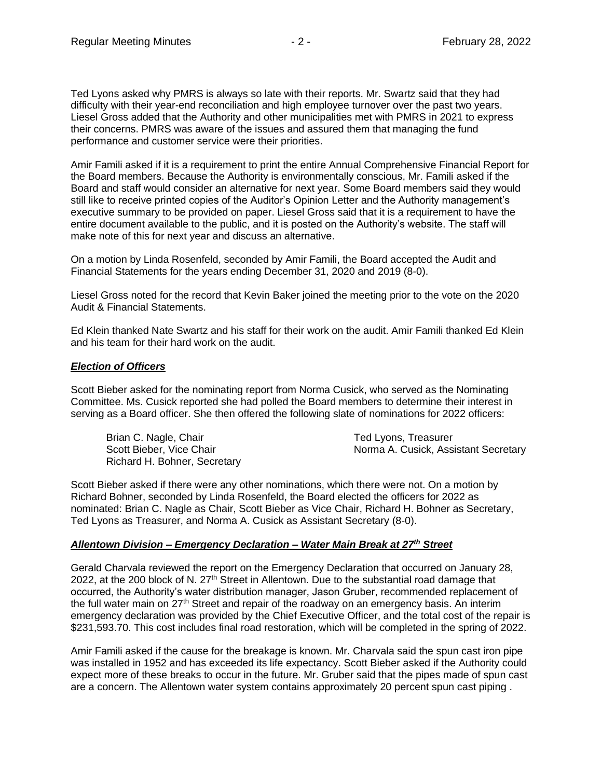Ted Lyons asked why PMRS is always so late with their reports. Mr. Swartz said that they had difficulty with their year-end reconciliation and high employee turnover over the past two years. Liesel Gross added that the Authority and other municipalities met with PMRS in 2021 to express their concerns. PMRS was aware of the issues and assured them that managing the fund performance and customer service were their priorities.

Amir Famili asked if it is a requirement to print the entire Annual Comprehensive Financial Report for the Board members. Because the Authority is environmentally conscious, Mr. Famili asked if the Board and staff would consider an alternative for next year. Some Board members said they would still like to receive printed copies of the Auditor's Opinion Letter and the Authority management's executive summary to be provided on paper. Liesel Gross said that it is a requirement to have the entire document available to the public, and it is posted on the Authority's website. The staff will make note of this for next year and discuss an alternative.

On a motion by Linda Rosenfeld, seconded by Amir Famili, the Board accepted the Audit and Financial Statements for the years ending December 31, 2020 and 2019 (8-0).

Liesel Gross noted for the record that Kevin Baker joined the meeting prior to the vote on the 2020 Audit & Financial Statements.

Ed Klein thanked Nate Swartz and his staff for their work on the audit. Amir Famili thanked Ed Klein and his team for their hard work on the audit.

#### *Election of Officers*

Scott Bieber asked for the nominating report from Norma Cusick, who served as the Nominating Committee. Ms. Cusick reported she had polled the Board members to determine their interest in serving as a Board officer. She then offered the following slate of nominations for 2022 officers:

Brian C. Nagle, Chair Ted Lyons, Treasurer Richard H. Bohner, Secretary

Scott Bieber, Vice Chair Norma A. Cusick, Assistant Secretary

Scott Bieber asked if there were any other nominations, which there were not. On a motion by Richard Bohner, seconded by Linda Rosenfeld, the Board elected the officers for 2022 as nominated: Brian C. Nagle as Chair, Scott Bieber as Vice Chair, Richard H. Bohner as Secretary, Ted Lyons as Treasurer, and Norma A. Cusick as Assistant Secretary (8-0).

### *Allentown Division – Emergency Declaration – Water Main Break at 27th Street*

Gerald Charvala reviewed the report on the Emergency Declaration that occurred on January 28, 2022, at the 200 block of N. 27<sup>th</sup> Street in Allentown. Due to the substantial road damage that occurred, the Authority's water distribution manager, Jason Gruber, recommended replacement of the full water main on 27<sup>th</sup> Street and repair of the roadway on an emergency basis. An interim emergency declaration was provided by the Chief Executive Officer, and the total cost of the repair is \$231,593.70. This cost includes final road restoration, which will be completed in the spring of 2022.

Amir Famili asked if the cause for the breakage is known. Mr. Charvala said the spun cast iron pipe was installed in 1952 and has exceeded its life expectancy. Scott Bieber asked if the Authority could expect more of these breaks to occur in the future. Mr. Gruber said that the pipes made of spun cast are a concern. The Allentown water system contains approximately 20 percent spun cast piping .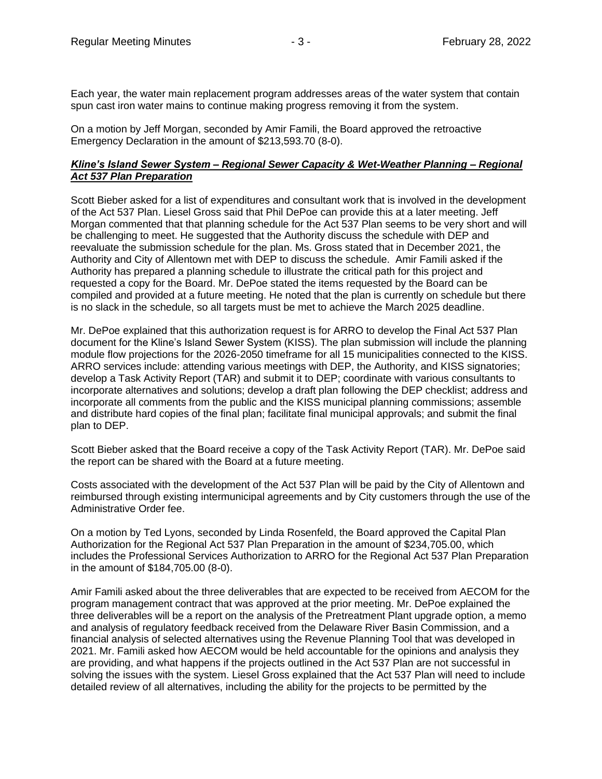Each year, the water main replacement program addresses areas of the water system that contain spun cast iron water mains to continue making progress removing it from the system.

On a motion by Jeff Morgan, seconded by Amir Famili, the Board approved the retroactive Emergency Declaration in the amount of \$213,593.70 (8-0).

## *Kline's Island Sewer System – Regional Sewer Capacity & Wet-Weather Planning – Regional Act 537 Plan Preparation*

Scott Bieber asked for a list of expenditures and consultant work that is involved in the development of the Act 537 Plan. Liesel Gross said that Phil DePoe can provide this at a later meeting. Jeff Morgan commented that that planning schedule for the Act 537 Plan seems to be very short and will be challenging to meet. He suggested that the Authority discuss the schedule with DEP and reevaluate the submission schedule for the plan. Ms. Gross stated that in December 2021, the Authority and City of Allentown met with DEP to discuss the schedule. Amir Famili asked if the Authority has prepared a planning schedule to illustrate the critical path for this project and requested a copy for the Board. Mr. DePoe stated the items requested by the Board can be compiled and provided at a future meeting. He noted that the plan is currently on schedule but there is no slack in the schedule, so all targets must be met to achieve the March 2025 deadline.

Mr. DePoe explained that this authorization request is for ARRO to develop the Final Act 537 Plan document for the Kline's Island Sewer System (KISS). The plan submission will include the planning module flow projections for the 2026-2050 timeframe for all 15 municipalities connected to the KISS. ARRO services include: attending various meetings with DEP, the Authority, and KISS signatories; develop a Task Activity Report (TAR) and submit it to DEP; coordinate with various consultants to incorporate alternatives and solutions; develop a draft plan following the DEP checklist; address and incorporate all comments from the public and the KISS municipal planning commissions; assemble and distribute hard copies of the final plan; facilitate final municipal approvals; and submit the final plan to DEP.

Scott Bieber asked that the Board receive a copy of the Task Activity Report (TAR). Mr. DePoe said the report can be shared with the Board at a future meeting.

Costs associated with the development of the Act 537 Plan will be paid by the City of Allentown and reimbursed through existing intermunicipal agreements and by City customers through the use of the Administrative Order fee.

On a motion by Ted Lyons, seconded by Linda Rosenfeld, the Board approved the Capital Plan Authorization for the Regional Act 537 Plan Preparation in the amount of \$234,705.00, which includes the Professional Services Authorization to ARRO for the Regional Act 537 Plan Preparation in the amount of \$184,705.00 (8-0).

Amir Famili asked about the three deliverables that are expected to be received from AECOM for the program management contract that was approved at the prior meeting. Mr. DePoe explained the three deliverables will be a report on the analysis of the Pretreatment Plant upgrade option, a memo and analysis of regulatory feedback received from the Delaware River Basin Commission, and a financial analysis of selected alternatives using the Revenue Planning Tool that was developed in 2021. Mr. Famili asked how AECOM would be held accountable for the opinions and analysis they are providing, and what happens if the projects outlined in the Act 537 Plan are not successful in solving the issues with the system. Liesel Gross explained that the Act 537 Plan will need to include detailed review of all alternatives, including the ability for the projects to be permitted by the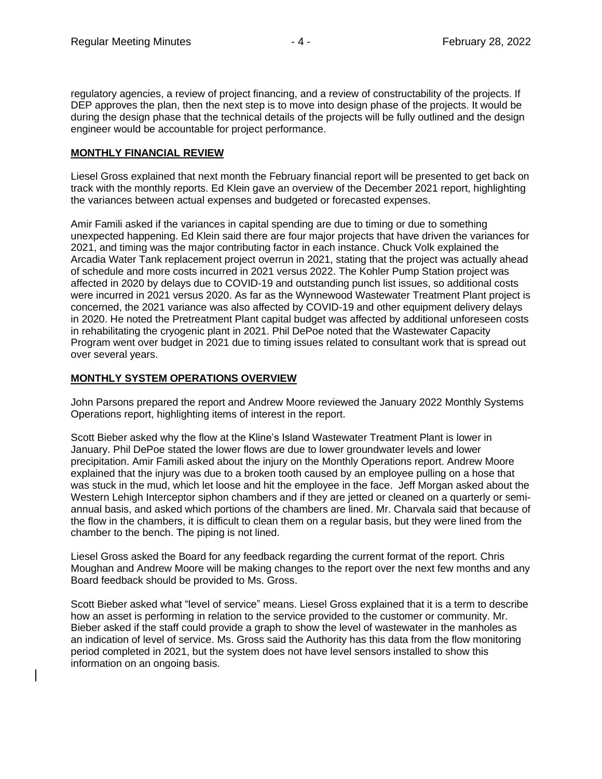regulatory agencies, a review of project financing, and a review of constructability of the projects. If DEP approves the plan, then the next step is to move into design phase of the projects. It would be during the design phase that the technical details of the projects will be fully outlined and the design engineer would be accountable for project performance.

### **MONTHLY FINANCIAL REVIEW**

Liesel Gross explained that next month the February financial report will be presented to get back on track with the monthly reports. Ed Klein gave an overview of the December 2021 report, highlighting the variances between actual expenses and budgeted or forecasted expenses.

Amir Famili asked if the variances in capital spending are due to timing or due to something unexpected happening. Ed Klein said there are four major projects that have driven the variances for 2021, and timing was the major contributing factor in each instance. Chuck Volk explained the Arcadia Water Tank replacement project overrun in 2021, stating that the project was actually ahead of schedule and more costs incurred in 2021 versus 2022. The Kohler Pump Station project was affected in 2020 by delays due to COVID-19 and outstanding punch list issues, so additional costs were incurred in 2021 versus 2020. As far as the Wynnewood Wastewater Treatment Plant project is concerned, the 2021 variance was also affected by COVID-19 and other equipment delivery delays in 2020. He noted the Pretreatment Plant capital budget was affected by additional unforeseen costs in rehabilitating the cryogenic plant in 2021. Phil DePoe noted that the Wastewater Capacity Program went over budget in 2021 due to timing issues related to consultant work that is spread out over several years.

# **MONTHLY SYSTEM OPERATIONS OVERVIEW**

John Parsons prepared the report and Andrew Moore reviewed the January 2022 Monthly Systems Operations report, highlighting items of interest in the report.

Scott Bieber asked why the flow at the Kline's Island Wastewater Treatment Plant is lower in January. Phil DePoe stated the lower flows are due to lower groundwater levels and lower precipitation. Amir Famili asked about the injury on the Monthly Operations report. Andrew Moore explained that the injury was due to a broken tooth caused by an employee pulling on a hose that was stuck in the mud, which let loose and hit the employee in the face. Jeff Morgan asked about the Western Lehigh Interceptor siphon chambers and if they are jetted or cleaned on a quarterly or semiannual basis, and asked which portions of the chambers are lined. Mr. Charvala said that because of the flow in the chambers, it is difficult to clean them on a regular basis, but they were lined from the chamber to the bench. The piping is not lined.

Liesel Gross asked the Board for any feedback regarding the current format of the report. Chris Moughan and Andrew Moore will be making changes to the report over the next few months and any Board feedback should be provided to Ms. Gross.

Scott Bieber asked what "level of service" means. Liesel Gross explained that it is a term to describe how an asset is performing in relation to the service provided to the customer or community. Mr. Bieber asked if the staff could provide a graph to show the level of wastewater in the manholes as an indication of level of service. Ms. Gross said the Authority has this data from the flow monitoring period completed in 2021, but the system does not have level sensors installed to show this information on an ongoing basis.